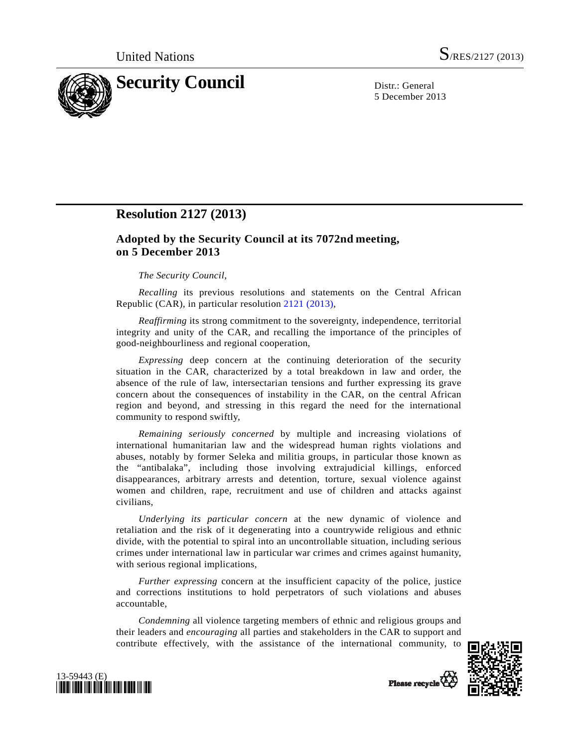

5 December 2013

# **Resolution 2127 (2013)**

## **Adopted by the Security Council at its 7072nd meeting, on 5 December 2013**

## *The Security Council*,

*Recalling* its previous resolutions and statements on the Central African Republic (CAR), in particular resolution [2121 \(2013\)](http://undocs.org/S/RES/2121(2013)),

*Reaffirming* its strong commitment to the sovereignty, independence, territorial integrity and unity of the CAR, and recalling the importance of the principles of good-neighbourliness and regional cooperation,

*Expressing* deep concern at the continuing deterioration of the security situation in the CAR, characterized by a total breakdown in law and order, the absence of the rule of law, intersectarian tensions and further expressing its grave concern about the consequences of instability in the CAR, on the central African region and beyond, and stressing in this regard the need for the international community to respond swiftly,

*Remaining seriously concerned* by multiple and increasing violations of international humanitarian law and the widespread human rights violations and abuses, notably by former Seleka and militia groups, in particular those known as the "antibalaka", including those involving extrajudicial killings, enforced disappearances, arbitrary arrests and detention, torture, sexual violence against women and children, rape, recruitment and use of children and attacks against civilians,

*Underlying its particular concern* at the new dynamic of violence and retaliation and the risk of it degenerating into a countrywide religious and ethnic divide, with the potential to spiral into an uncontrollable situation, including serious crimes under international law in particular war crimes and crimes against humanity, with serious regional implications,

*Further expressing* concern at the insufficient capacity of the police, justice and corrections institutions to hold perpetrators of such violations and abuses accountable,

*Condemning* all violence targeting members of ethnic and religious groups and their leaders and *encouraging* all parties and stakeholders in the CAR to support and contribute effectively, with the assistance of the international community, to





Please recycle<sup>7</sup>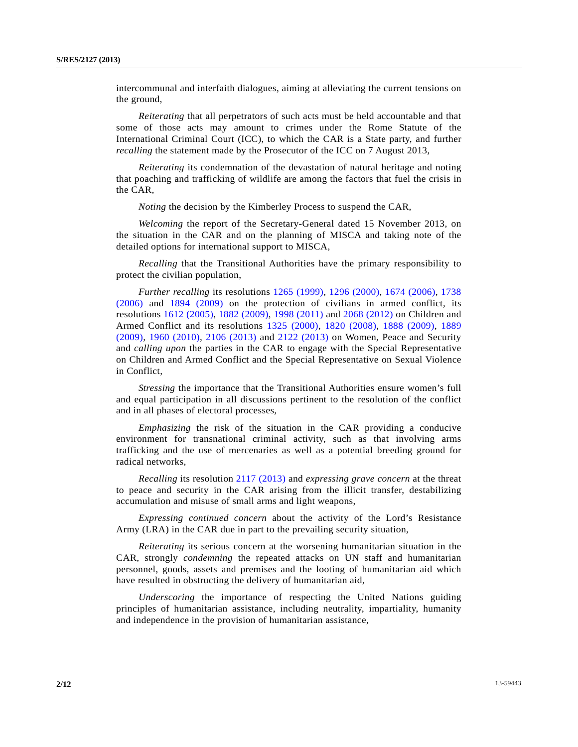intercommunal and interfaith dialogues, aiming at alleviating the current tensions on the ground,

*Reiterating* that all perpetrators of such acts must be held accountable and that some of those acts may amount to crimes under the Rome Statute of the International Criminal Court (ICC), to which the CAR is a State party, and further *recalling* the statement made by the Prosecutor of the ICC on 7 August 2013,

*Reiterating* its condemnation of the devastation of natural heritage and noting that poaching and trafficking of wildlife are among the factors that fuel the crisis in the CAR,

*Noting* the decision by the Kimberley Process to suspend the CAR,

*Welcoming* the report of the Secretary-General dated 15 November 2013, on the situation in the CAR and on the planning of MISCA and taking note of the detailed options for international support to MISCA,

*Recalling* that the Transitional Authorities have the primary responsibility to protect the civilian population,

*Further recalling* its resolutions [1265 \(1999\),](http://undocs.org/S/RES/1265(1999)) [1296 \(2000\)](http://undocs.org/S/RES/1296(2000)), [1674 \(2006\)](http://undocs.org/S/RES/1674(2006)), [1738](http://undocs.org/S/RES/1738(2006))  [\(2006\)](http://undocs.org/S/RES/1738(2006)) and [1894 \(2009\)](http://undocs.org/S/RES/1894(2009)) on the protection of civilians in armed conflict, its resolutions [1612 \(2005\)](http://undocs.org/S/RES/1612(2005)), [1882 \(2009\),](http://undocs.org/S/RES/1882(2009)) [1998 \(2011\)](http://undocs.org/S/RES/1998(2011)) and [2068 \(2012\)](http://undocs.org/S/RES/2068(2012)) on Children and Armed Conflict and its resolutions [1325 \(2000\)](http://undocs.org/S/RES/1325(2000)), [1820 \(2008\),](http://undocs.org/S/RES/1820(2008)) [1888 \(2009\)](http://undocs.org/S/RES/1888(2009)), [1889](http://undocs.org/S/RES/1889(2009))  [\(2009\),](http://undocs.org/S/RES/1889(2009)) [1960 \(2010\),](http://undocs.org/S/RES/1960(2010)) [2106 \(2013\)](http://undocs.org/S/RES/2106(2013)) and [2122 \(2013\)](http://undocs.org/S/RES/2122(2013)) on Women, Peace and Security and *calling upon* the parties in the CAR to engage with the Special Representative on Children and Armed Conflict and the Special Representative on Sexual Violence in Conflict,

*Stressing* the importance that the Transitional Authorities ensure women's full and equal participation in all discussions pertinent to the resolution of the conflict and in all phases of electoral processes,

*Emphasizing* the risk of the situation in the CAR providing a conducive environment for transnational criminal activity, such as that involving arms trafficking and the use of mercenaries as well as a potential breeding ground for radical networks,

*Recalling* its resolution [2117 \(2013\)](http://undocs.org/S/RES/2117(2013)) and *expressing grave concern* at the threat to peace and security in the CAR arising from the illicit transfer, destabilizing accumulation and misuse of small arms and light weapons,

*Expressing continued concern* about the activity of the Lord's Resistance Army (LRA) in the CAR due in part to the prevailing security situation,

*Reiterating* its serious concern at the worsening humanitarian situation in the CAR, strongly *condemning* the repeated attacks on UN staff and humanitarian personnel, goods, assets and premises and the looting of humanitarian aid which have resulted in obstructing the delivery of humanitarian aid,

*Underscoring* the importance of respecting the United Nations guiding principles of humanitarian assistance, including neutrality, impartiality, humanity and independence in the provision of humanitarian assistance,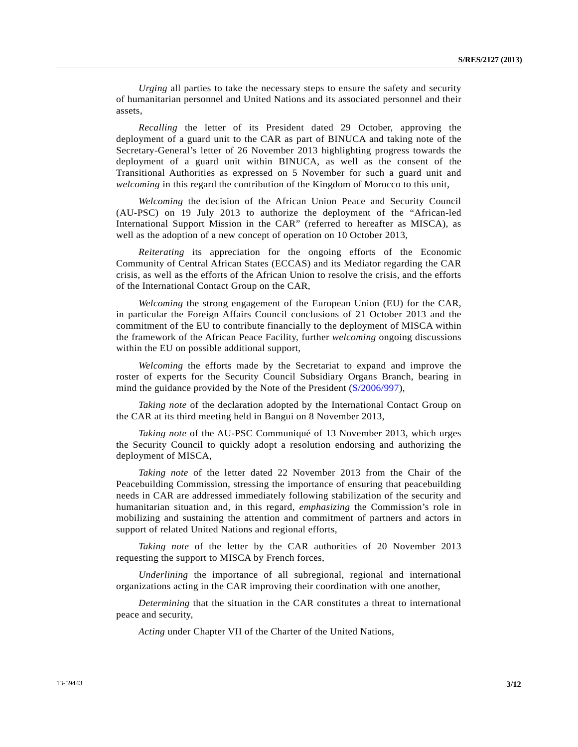*Urging* all parties to take the necessary steps to ensure the safety and security of humanitarian personnel and United Nations and its associated personnel and their assets,

*Recalling* the letter of its President dated 29 October, approving the deployment of a guard unit to the CAR as part of BINUCA and taking note of the Secretary-General's letter of 26 November 2013 highlighting progress towards the deployment of a guard unit within BINUCA, as well as the consent of the Transitional Authorities as expressed on 5 November for such a guard unit and *welcoming* in this regard the contribution of the Kingdom of Morocco to this unit,

*Welcoming* the decision of the African Union Peace and Security Council (AU-PSC) on 19 July 2013 to authorize the deployment of the "African-led International Support Mission in the CAR" (referred to hereafter as MISCA), as well as the adoption of a new concept of operation on 10 October 2013,

*Reiterating* its appreciation for the ongoing efforts of the Economic Community of Central African States (ECCAS) and its Mediator regarding the CAR crisis, as well as the efforts of the African Union to resolve the crisis, and the efforts of the International Contact Group on the CAR,

*Welcoming* the strong engagement of the European Union (EU) for the CAR, in particular the Foreign Affairs Council conclusions of 21 October 2013 and the commitment of the EU to contribute financially to the deployment of MISCA within the framework of the African Peace Facility, further *welcoming* ongoing discussions within the EU on possible additional support,

*Welcoming* the efforts made by the Secretariat to expand and improve the roster of experts for the Security Council Subsidiary Organs Branch, bearing in mind the guidance provided by the Note of the President [\(S/2006/997\)](http://undocs.org/S/2006/997),

*Taking note* of the declaration adopted by the International Contact Group on the CAR at its third meeting held in Bangui on 8 November 2013,

*Taking note* of the AU-PSC Communiqué of 13 November 2013, which urges the Security Council to quickly adopt a resolution endorsing and authorizing the deployment of MISCA,

*Taking note* of the letter dated 22 November 2013 from the Chair of the Peacebuilding Commission, stressing the importance of ensuring that peacebuilding needs in CAR are addressed immediately following stabilization of the security and humanitarian situation and, in this regard, *emphasizing* the Commission's role in mobilizing and sustaining the attention and commitment of partners and actors in support of related United Nations and regional efforts,

*Taking note* of the letter by the CAR authorities of 20 November 2013 requesting the support to MISCA by French forces,

*Underlining* the importance of all subregional, regional and international organizations acting in the CAR improving their coordination with one another,

*Determining* that the situation in the CAR constitutes a threat to international peace and security,

*Acting* under Chapter VII of the Charter of the United Nations,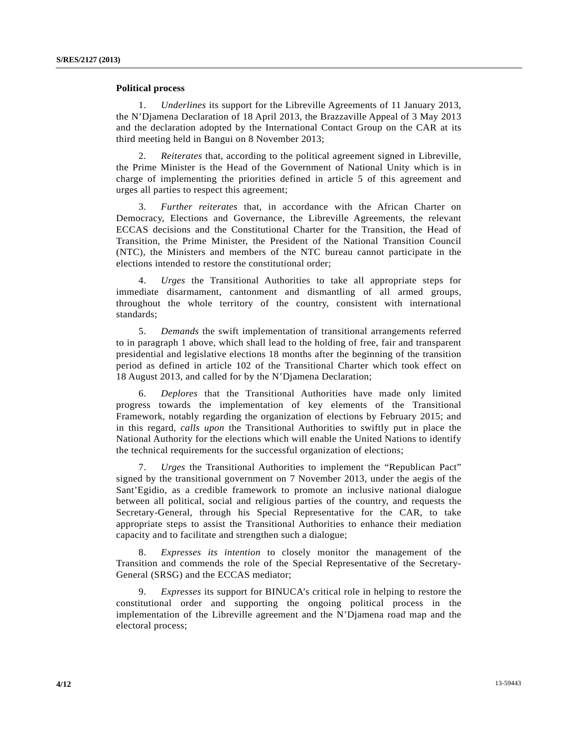#### **Political process**

 1. *Underlines* its support for the Libreville Agreements of 11 January 2013, the N'Djamena Declaration of 18 April 2013, the Brazzaville Appeal of 3 May 2013 and the declaration adopted by the International Contact Group on the CAR at its third meeting held in Bangui on 8 November 2013;

 2. *Reiterates* that, according to the political agreement signed in Libreville, the Prime Minister is the Head of the Government of National Unity which is in charge of implementing the priorities defined in article 5 of this agreement and urges all parties to respect this agreement;

 3. *Further reiterates* that, in accordance with the African Charter on Democracy, Elections and Governance, the Libreville Agreements, the relevant ECCAS decisions and the Constitutional Charter for the Transition, the Head of Transition, the Prime Minister, the President of the National Transition Council (NTC), the Ministers and members of the NTC bureau cannot participate in the elections intended to restore the constitutional order;

 4. *Urges* the Transitional Authorities to take all appropriate steps for immediate disarmament, cantonment and dismantling of all armed groups, throughout the whole territory of the country, consistent with international standards;

 5. *Demands* the swift implementation of transitional arrangements referred to in paragraph 1 above, which shall lead to the holding of free, fair and transparent presidential and legislative elections 18 months after the beginning of the transition period as defined in article 102 of the Transitional Charter which took effect on 18 August 2013, and called for by the N'Djamena Declaration;

 6. *Deplores* that the Transitional Authorities have made only limited progress towards the implementation of key elements of the Transitional Framework, notably regarding the organization of elections by February 2015; and in this regard, *calls upon* the Transitional Authorities to swiftly put in place the National Authority for the elections which will enable the United Nations to identify the technical requirements for the successful organization of elections;

 7. *Urges* the Transitional Authorities to implement the "Republican Pact" signed by the transitional government on 7 November 2013, under the aegis of the Sant'Egidio, as a credible framework to promote an inclusive national dialogue between all political, social and religious parties of the country, and requests the Secretary-General, through his Special Representative for the CAR, to take appropriate steps to assist the Transitional Authorities to enhance their mediation capacity and to facilitate and strengthen such a dialogue;

 8. *Expresses its intention* to closely monitor the management of the Transition and commends the role of the Special Representative of the Secretary-General (SRSG) and the ECCAS mediator;

 9. *Expresses* its support for BINUCA's critical role in helping to restore the constitutional order and supporting the ongoing political process in the implementation of the Libreville agreement and the N'Djamena road map and the electoral process;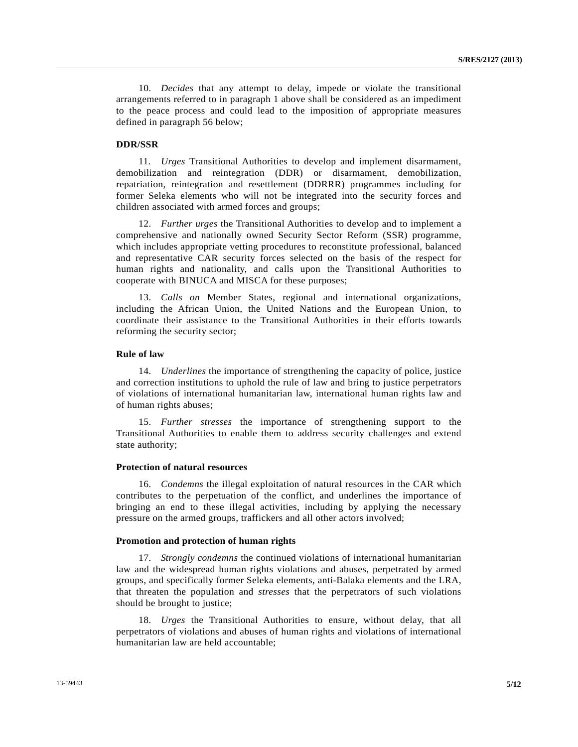10. *Decides* that any attempt to delay, impede or violate the transitional arrangements referred to in paragraph 1 above shall be considered as an impediment to the peace process and could lead to the imposition of appropriate measures defined in paragraph 56 below;

## **DDR/SSR**

 11. *Urges* Transitional Authorities to develop and implement disarmament, demobilization and reintegration (DDR) or disarmament, demobilization, repatriation, reintegration and resettlement (DDRRR) programmes including for former Seleka elements who will not be integrated into the security forces and children associated with armed forces and groups;

 12. *Further urges* the Transitional Authorities to develop and to implement a comprehensive and nationally owned Security Sector Reform (SSR) programme, which includes appropriate vetting procedures to reconstitute professional, balanced and representative CAR security forces selected on the basis of the respect for human rights and nationality, and calls upon the Transitional Authorities to cooperate with BINUCA and MISCA for these purposes;

 13. *Calls on* Member States, regional and international organizations, including the African Union, the United Nations and the European Union, to coordinate their assistance to the Transitional Authorities in their efforts towards reforming the security sector;

## **Rule of law**

 14. *Underlines* the importance of strengthening the capacity of police, justice and correction institutions to uphold the rule of law and bring to justice perpetrators of violations of international humanitarian law, international human rights law and of human rights abuses;

 15. *Further stresses* the importance of strengthening support to the Transitional Authorities to enable them to address security challenges and extend state authority;

#### **Protection of natural resources**

 16. *Condemns* the illegal exploitation of natural resources in the CAR which contributes to the perpetuation of the conflict, and underlines the importance of bringing an end to these illegal activities, including by applying the necessary pressure on the armed groups, traffickers and all other actors involved;

#### **Promotion and protection of human rights**

 17. *Strongly condemns* the continued violations of international humanitarian law and the widespread human rights violations and abuses, perpetrated by armed groups, and specifically former Seleka elements, anti-Balaka elements and the LRA, that threaten the population and *stresses* that the perpetrators of such violations should be brought to justice;

 18. *Urges* the Transitional Authorities to ensure, without delay, that all perpetrators of violations and abuses of human rights and violations of international humanitarian law are held accountable;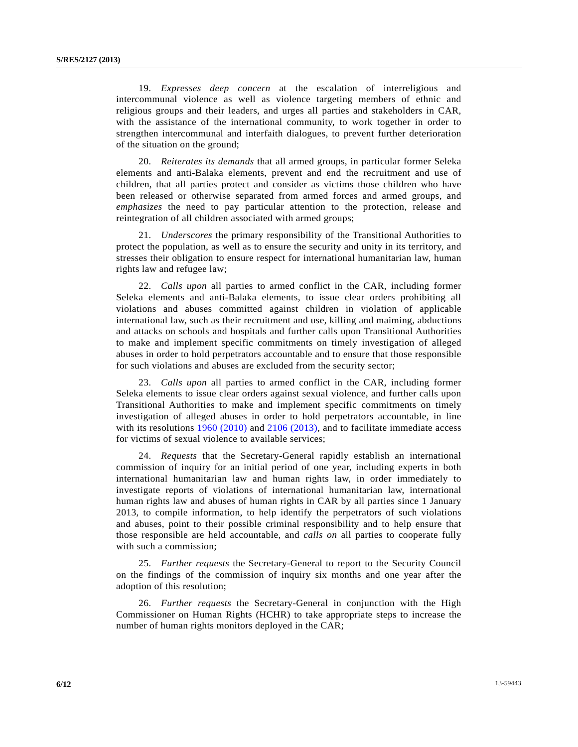19. *Expresses deep concern* at the escalation of interreligious and intercommunal violence as well as violence targeting members of ethnic and religious groups and their leaders, and urges all parties and stakeholders in CAR, with the assistance of the international community, to work together in order to strengthen intercommunal and interfaith dialogues, to prevent further deterioration of the situation on the ground;

 20. *Reiterates its demands* that all armed groups, in particular former Seleka elements and anti-Balaka elements, prevent and end the recruitment and use of children, that all parties protect and consider as victims those children who have been released or otherwise separated from armed forces and armed groups, and *emphasizes* the need to pay particular attention to the protection, release and reintegration of all children associated with armed groups;

 21. *Underscores* the primary responsibility of the Transitional Authorities to protect the population, as well as to ensure the security and unity in its territory, and stresses their obligation to ensure respect for international humanitarian law, human rights law and refugee law;

 22. *Calls upon* all parties to armed conflict in the CAR, including former Seleka elements and anti-Balaka elements, to issue clear orders prohibiting all violations and abuses committed against children in violation of applicable international law, such as their recruitment and use, killing and maiming, abductions and attacks on schools and hospitals and further calls upon Transitional Authorities to make and implement specific commitments on timely investigation of alleged abuses in order to hold perpetrators accountable and to ensure that those responsible for such violations and abuses are excluded from the security sector;

 23. *Calls upon* all parties to armed conflict in the CAR, including former Seleka elements to issue clear orders against sexual violence, and further calls upon Transitional Authorities to make and implement specific commitments on timely investigation of alleged abuses in order to hold perpetrators accountable, in line with its resolutions [1960 \(2010\)](http://undocs.org/S/RES/1960(2010)) and [2106 \(2013\)](http://undocs.org/S/RES/2106(2013)), and to facilitate immediate access for victims of sexual violence to available services;

 24. *Requests* that the Secretary-General rapidly establish an international commission of inquiry for an initial period of one year, including experts in both international humanitarian law and human rights law, in order immediately to investigate reports of violations of international humanitarian law, international human rights law and abuses of human rights in CAR by all parties since 1 January 2013, to compile information, to help identify the perpetrators of such violations and abuses, point to their possible criminal responsibility and to help ensure that those responsible are held accountable, and *calls on* all parties to cooperate fully with such a commission;

 25. *Further requests* the Secretary-General to report to the Security Council on the findings of the commission of inquiry six months and one year after the adoption of this resolution;

 26. *Further requests* the Secretary-General in conjunction with the High Commissioner on Human Rights (HCHR) to take appropriate steps to increase the number of human rights monitors deployed in the CAR;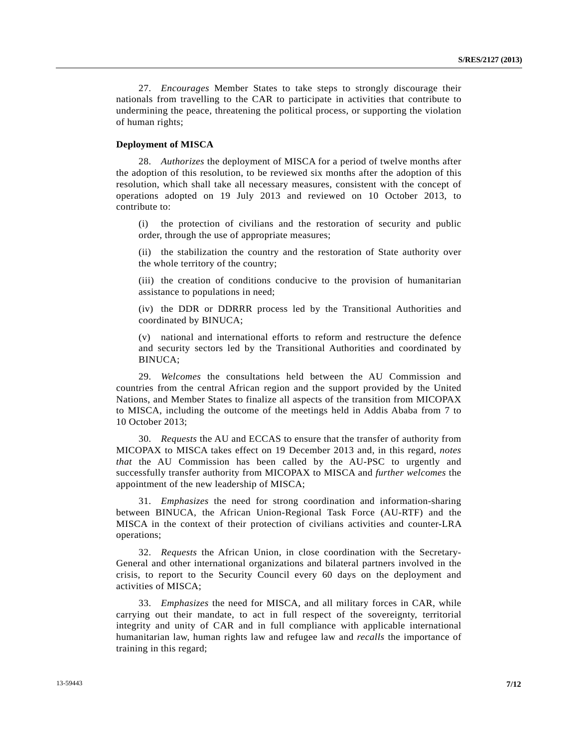27. *Encourages* Member States to take steps to strongly discourage their nationals from travelling to the CAR to participate in activities that contribute to undermining the peace, threatening the political process, or supporting the violation of human rights;

## **Deployment of MISCA**

 28. *Authorizes* the deployment of MISCA for a period of twelve months after the adoption of this resolution, to be reviewed six months after the adoption of this resolution, which shall take all necessary measures, consistent with the concept of operations adopted on 19 July 2013 and reviewed on 10 October 2013, to contribute to:

 (i) the protection of civilians and the restoration of security and public order, through the use of appropriate measures;

 (ii) the stabilization the country and the restoration of State authority over the whole territory of the country;

 (iii) the creation of conditions conducive to the provision of humanitarian assistance to populations in need;

 (iv) the DDR or DDRRR process led by the Transitional Authorities and coordinated by BINUCA;

 (v) national and international efforts to reform and restructure the defence and security sectors led by the Transitional Authorities and coordinated by BINUCA;

 29. *Welcomes* the consultations held between the AU Commission and countries from the central African region and the support provided by the United Nations, and Member States to finalize all aspects of the transition from MICOPAX to MISCA, including the outcome of the meetings held in Addis Ababa from 7 to 10 October 2013;

 30. *Requests* the AU and ECCAS to ensure that the transfer of authority from MICOPAX to MISCA takes effect on 19 December 2013 and, in this regard, *notes that* the AU Commission has been called by the AU-PSC to urgently and successfully transfer authority from MICOPAX to MISCA and *further welcomes* the appointment of the new leadership of MISCA;

 31. *Emphasizes* the need for strong coordination and information-sharing between BINUCA, the African Union-Regional Task Force (AU-RTF) and the MISCA in the context of their protection of civilians activities and counter-LRA operations;

 32. *Requests* the African Union, in close coordination with the Secretary-General and other international organizations and bilateral partners involved in the crisis, to report to the Security Council every 60 days on the deployment and activities of MISCA;

 33. *Emphasizes* the need for MISCA, and all military forces in CAR, while carrying out their mandate, to act in full respect of the sovereignty, territorial integrity and unity of CAR and in full compliance with applicable international humanitarian law, human rights law and refugee law and *recalls* the importance of training in this regard;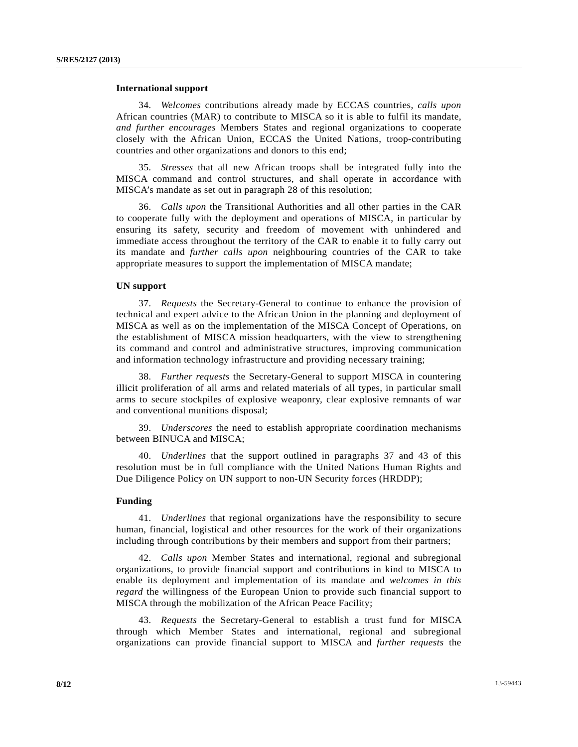#### **International support**

 34. *Welcomes* contributions already made by ECCAS countries, *calls upon* African countries (MAR) to contribute to MISCA so it is able to fulfil its mandate, *and further encourages* Members States and regional organizations to cooperate closely with the African Union, ECCAS the United Nations, troop-contributing countries and other organizations and donors to this end;

 35. *Stresses* that all new African troops shall be integrated fully into the MISCA command and control structures, and shall operate in accordance with MISCA's mandate as set out in paragraph 28 of this resolution;

 36. *Calls upon* the Transitional Authorities and all other parties in the CAR to cooperate fully with the deployment and operations of MISCA, in particular by ensuring its safety, security and freedom of movement with unhindered and immediate access throughout the territory of the CAR to enable it to fully carry out its mandate and *further calls upon* neighbouring countries of the CAR to take appropriate measures to support the implementation of MISCA mandate;

## **UN support**

 37. *Requests* the Secretary-General to continue to enhance the provision of technical and expert advice to the African Union in the planning and deployment of MISCA as well as on the implementation of the MISCA Concept of Operations, on the establishment of MISCA mission headquarters, with the view to strengthening its command and control and administrative structures, improving communication and information technology infrastructure and providing necessary training;

 38. *Further requests* the Secretary-General to support MISCA in countering illicit proliferation of all arms and related materials of all types, in particular small arms to secure stockpiles of explosive weaponry, clear explosive remnants of war and conventional munitions disposal;

 39. *Underscores* the need to establish appropriate coordination mechanisms between BINUCA and MISCA;

 40. *Underlines* that the support outlined in paragraphs 37 and 43 of this resolution must be in full compliance with the United Nations Human Rights and Due Diligence Policy on UN support to non-UN Security forces (HRDDP);

## **Funding**

 41. *Underlines* that regional organizations have the responsibility to secure human, financial, logistical and other resources for the work of their organizations including through contributions by their members and support from their partners;

 42. *Calls upon* Member States and international, regional and subregional organizations, to provide financial support and contributions in kind to MISCA to enable its deployment and implementation of its mandate and *welcomes in this regard* the willingness of the European Union to provide such financial support to MISCA through the mobilization of the African Peace Facility;

 43. *Requests* the Secretary-General to establish a trust fund for MISCA through which Member States and international, regional and subregional organizations can provide financial support to MISCA and *further requests* the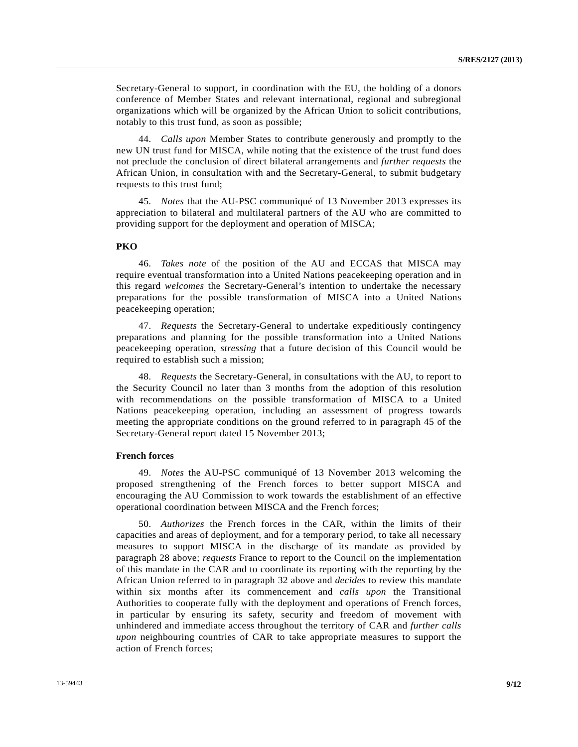Secretary-General to support, in coordination with the EU, the holding of a donors conference of Member States and relevant international, regional and subregional organizations which will be organized by the African Union to solicit contributions, notably to this trust fund, as soon as possible;

 44. *Calls upon* Member States to contribute generously and promptly to the new UN trust fund for MISCA, while noting that the existence of the trust fund does not preclude the conclusion of direct bilateral arrangements and *further requests* the African Union, in consultation with and the Secretary-General, to submit budgetary requests to this trust fund;

 45. *Notes* that the AU-PSC communiqué of 13 November 2013 expresses its appreciation to bilateral and multilateral partners of the AU who are committed to providing support for the deployment and operation of MISCA;

## **PKO**

 46. *Takes note* of the position of the AU and ECCAS that MISCA may require eventual transformation into a United Nations peacekeeping operation and in this regard *welcomes* the Secretary-General's intention to undertake the necessary preparations for the possible transformation of MISCA into a United Nations peacekeeping operation;

 47. *Requests* the Secretary-General to undertake expeditiously contingency preparations and planning for the possible transformation into a United Nations peacekeeping operation, *stressing* that a future decision of this Council would be required to establish such a mission;

 48. *Requests* the Secretary-General, in consultations with the AU, to report to the Security Council no later than 3 months from the adoption of this resolution with recommendations on the possible transformation of MISCA to a United Nations peacekeeping operation, including an assessment of progress towards meeting the appropriate conditions on the ground referred to in paragraph 45 of the Secretary-General report dated 15 November 2013;

## **French forces**

 49. *Notes* the AU-PSC communiqué of 13 November 2013 welcoming the proposed strengthening of the French forces to better support MISCA and encouraging the AU Commission to work towards the establishment of an effective operational coordination between MISCA and the French forces;

 50. *Authorizes* the French forces in the CAR, within the limits of their capacities and areas of deployment, and for a temporary period, to take all necessary measures to support MISCA in the discharge of its mandate as provided by paragraph 28 above; *requests* France to report to the Council on the implementation of this mandate in the CAR and to coordinate its reporting with the reporting by the African Union referred to in paragraph 32 above and *decides* to review this mandate within six months after its commencement and *calls upon* the Transitional Authorities to cooperate fully with the deployment and operations of French forces, in particular by ensuring its safety, security and freedom of movement with unhindered and immediate access throughout the territory of CAR and *further calls upon* neighbouring countries of CAR to take appropriate measures to support the action of French forces;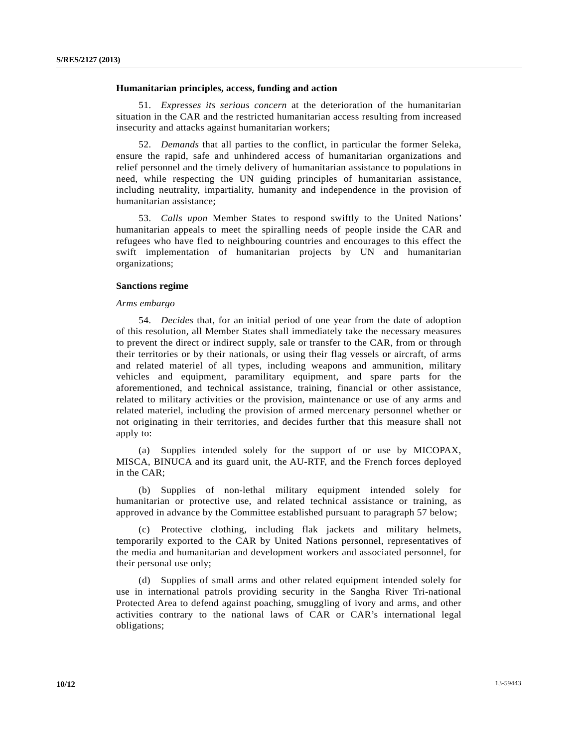#### **Humanitarian principles, access, funding and action**

 51. *Expresses its serious concern* at the deterioration of the humanitarian situation in the CAR and the restricted humanitarian access resulting from increased insecurity and attacks against humanitarian workers;

 52. *Demands* that all parties to the conflict, in particular the former Seleka, ensure the rapid, safe and unhindered access of humanitarian organizations and relief personnel and the timely delivery of humanitarian assistance to populations in need, while respecting the UN guiding principles of humanitarian assistance, including neutrality, impartiality, humanity and independence in the provision of humanitarian assistance;

 53. *Calls upon* Member States to respond swiftly to the United Nations' humanitarian appeals to meet the spiralling needs of people inside the CAR and refugees who have fled to neighbouring countries and encourages to this effect the swift implementation of humanitarian projects by UN and humanitarian organizations;

## **Sanctions regime**

#### *Arms embargo*

 54. *Decides* that, for an initial period of one year from the date of adoption of this resolution, all Member States shall immediately take the necessary measures to prevent the direct or indirect supply, sale or transfer to the CAR, from or through their territories or by their nationals, or using their flag vessels or aircraft, of arms and related materiel of all types, including weapons and ammunition, military vehicles and equipment, paramilitary equipment, and spare parts for the aforementioned, and technical assistance, training, financial or other assistance, related to military activities or the provision, maintenance or use of any arms and related materiel, including the provision of armed mercenary personnel whether or not originating in their territories, and decides further that this measure shall not apply to:

 (a) Supplies intended solely for the support of or use by MICOPAX, MISCA, BINUCA and its guard unit, the AU-RTF, and the French forces deployed in the CAR;

 (b) Supplies of non-lethal military equipment intended solely for humanitarian or protective use, and related technical assistance or training, as approved in advance by the Committee established pursuant to paragraph 57 below;

 (c) Protective clothing, including flak jackets and military helmets, temporarily exported to the CAR by United Nations personnel, representatives of the media and humanitarian and development workers and associated personnel, for their personal use only;

 (d) Supplies of small arms and other related equipment intended solely for use in international patrols providing security in the Sangha River Tri-national Protected Area to defend against poaching, smuggling of ivory and arms, and other activities contrary to the national laws of CAR or CAR's international legal obligations;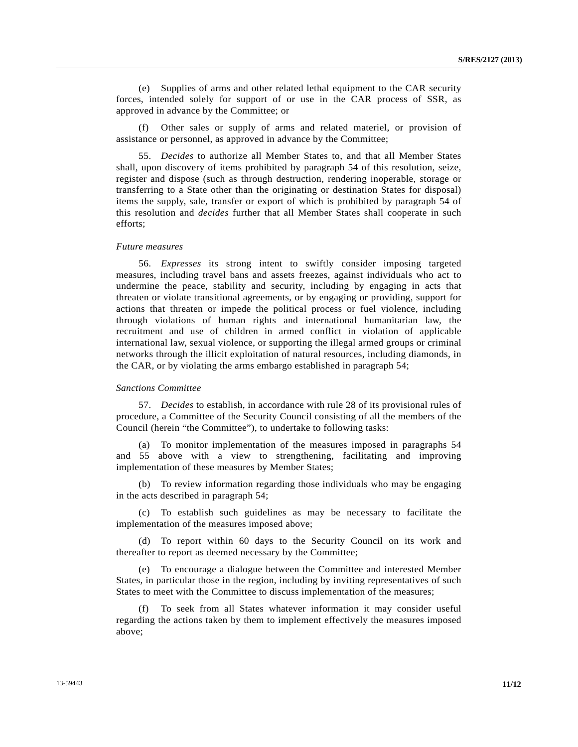(e) Supplies of arms and other related lethal equipment to the CAR security forces, intended solely for support of or use in the CAR process of SSR, as approved in advance by the Committee; or

 (f) Other sales or supply of arms and related materiel, or provision of assistance or personnel, as approved in advance by the Committee;

 55. *Decides* to authorize all Member States to, and that all Member States shall, upon discovery of items prohibited by paragraph 54 of this resolution, seize, register and dispose (such as through destruction, rendering inoperable, storage or transferring to a State other than the originating or destination States for disposal) items the supply, sale, transfer or export of which is prohibited by paragraph 54 of this resolution and *decides* further that all Member States shall cooperate in such efforts;

#### *Future measures*

 56. *Expresses* its strong intent to swiftly consider imposing targeted measures, including travel bans and assets freezes, against individuals who act to undermine the peace, stability and security, including by engaging in acts that threaten or violate transitional agreements, or by engaging or providing, support for actions that threaten or impede the political process or fuel violence, including through violations of human rights and international humanitarian law, the recruitment and use of children in armed conflict in violation of applicable international law, sexual violence, or supporting the illegal armed groups or criminal networks through the illicit exploitation of natural resources, including diamonds, in the CAR, or by violating the arms embargo established in paragraph 54;

#### *Sanctions Committee*

 57. *Decides* to establish, in accordance with rule 28 of its provisional rules of procedure, a Committee of the Security Council consisting of all the members of the Council (herein "the Committee"), to undertake to following tasks:

 (a) To monitor implementation of the measures imposed in paragraphs 54 and 55 above with a view to strengthening, facilitating and improving implementation of these measures by Member States;

 (b) To review information regarding those individuals who may be engaging in the acts described in paragraph 54;

 (c) To establish such guidelines as may be necessary to facilitate the implementation of the measures imposed above;

 (d) To report within 60 days to the Security Council on its work and thereafter to report as deemed necessary by the Committee;

 (e) To encourage a dialogue between the Committee and interested Member States, in particular those in the region, including by inviting representatives of such States to meet with the Committee to discuss implementation of the measures;

 (f) To seek from all States whatever information it may consider useful regarding the actions taken by them to implement effectively the measures imposed above;